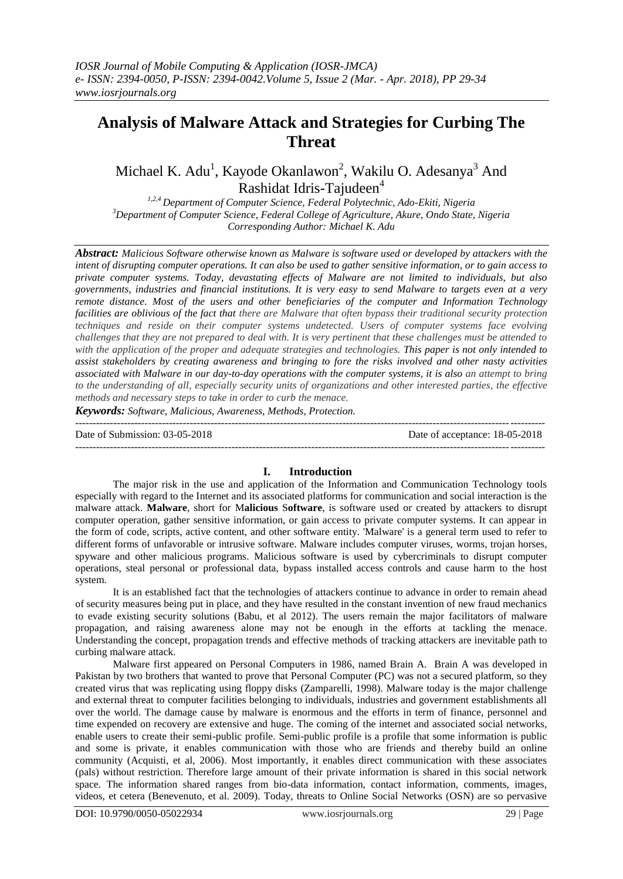# **Analysis of Malware Attack and Strategies for Curbing The Threat**

Michael K. Adu<sup>1</sup>, Kayode Okanlawon<sup>2</sup>, Wakilu O. Adesanya<sup>3</sup> And Rashidat Idris-Tajudeen<sup>4</sup>

*1,2,4 Department of Computer Science, Federal Polytechnic, Ado-Ekiti, Nigeria <sup>3</sup>Department of Computer Science, Federal College of Agriculture, Akure, Ondo State, Nigeria Corresponding Author: Michael K. Adu*

*Abstract: Malicious Software otherwise known as Malware is software used or developed by attackers with the intent of disrupting computer operations. It can also be used to gather sensitive information, or to gain access to private computer systems. Today, devastating effects of Malware are not limited to individuals, but also governments, industries and financial institutions. It is very easy to send Malware to targets even at a very remote distance. Most of the users and other beneficiaries of the computer and Information Technology facilities are oblivious of the fact that there are Malware that often bypass their traditional security protection techniques and reside on their computer systems undetected. Users of computer systems face evolving challenges that they are not prepared to deal with. It is very pertinent that these challenges must be attended to with the application of the proper and adequate strategies and technologies. This paper is not only intended to assist stakeholders by creating awareness and bringing to fore the risks involved and other nasty activities associated with Malware in our day-to-day operations with the computer systems, it is also an attempt to bring to the understanding of all, especially security units of organizations and other interested parties, the effective methods and necessary steps to take in order to curb the menace.*

*Keywords: Software, Malicious, Awareness, Methods, Protection.*

--------------------------------------------------------------------------------------------------------------------------------------- Date of Submission: 03-05-2018 Date of acceptance: 18-05-2018 ---------------------------------------------------------------------------------------------------------------------------------------

### **I. Introduction**

The major risk in the use and application of the Information and Communication Technology tools especially with regard to the Internet and its associated platforms for communication and social interaction is the malware attack. **Malware**, short for M**alicious** S**oftware**, is software used or created by attackers to disrupt computer operation, gather sensitive information, or gain access to private computer systems. It can appear in the form of code, scripts, active content, and other software entity. 'Malware' is a general term used to refer to different forms of unfavorable or intrusive software. Malware includes computer viruses, worms, trojan horses, spyware and other malicious programs. Malicious software is used by cybercriminals to disrupt computer operations, steal personal or professional data, bypass installed access controls and cause harm to the host system.

It is an established fact that the technologies of attackers continue to advance in order to remain ahead of security measures being put in place, and they have resulted in the constant invention of new fraud mechanics to evade existing security solutions (Babu, et al 2012). The users remain the major facilitators of malware propagation, and raising awareness alone may not be enough in the efforts at tackling the menace. Understanding the concept, propagation trends and effective methods of tracking attackers are inevitable path to curbing malware attack.

Malware first appeared on Personal Computers in 1986, named Brain A. Brain A was developed in Pakistan by two brothers that wanted to prove that Personal Computer (PC) was not a secured platform, so they created virus that was replicating using floppy disks (Zamparelli, 1998). Malware today is the major challenge and external threat to computer facilities belonging to individuals, industries and government establishments all over the world. The damage cause by malware is enormous and the efforts in term of finance, personnel and time expended on recovery are extensive and huge. The coming of the internet and associated social networks, enable users to create their semi-public profile. Semi-public profile is a profile that some information is public and some is private, it enables communication with those who are friends and thereby build an online community (Acquisti, et al, 2006). Most importantly, it enables direct communication with these associates (pals) without restriction. Therefore large amount of their private information is shared in this social network space. The information shared ranges from bio-data information, contact information, comments, images, videos, et cetera (Benevenuto, et al. 2009). Today, threats to Online Social Networks (OSN) are so pervasive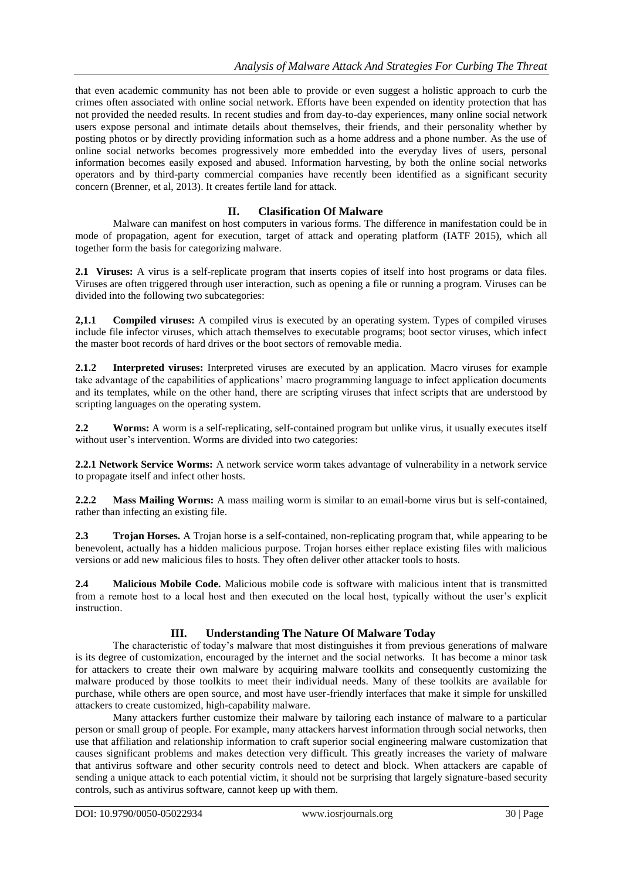that even academic community has not been able to provide or even suggest a holistic approach to curb the crimes often associated with online social network. Efforts have been expended on identity protection that has not provided the needed results. In recent studies and from day-to-day experiences, many online social network users expose personal and intimate details about themselves, their friends, and their personality whether by posting photos or by directly providing information such as a home address and a phone number. As the use of online social networks becomes progressively more embedded into the everyday lives of users, personal information becomes easily exposed and abused. Information harvesting, by both the online social networks operators and by third-party commercial companies have recently been identified as a significant security concern (Brenner, et al, 2013). It creates fertile land for attack.

# **II. Clasification Of Malware**

Malware can manifest on host computers in various forms. The difference in manifestation could be in mode of propagation, agent for execution, target of attack and operating platform (IATF 2015), which all together form the basis for categorizing malware.

**2.1 Viruses:** A virus is a self-replicate program that inserts copies of itself into host programs or data files. Viruses are often triggered through user interaction, such as opening a file or running a program. Viruses can be divided into the following two subcategories:

**2,1.1 Compiled viruses:** A compiled virus is executed by an operating system. Types of compiled viruses include file infector viruses, which attach themselves to executable programs; boot sector viruses, which infect the master boot records of hard drives or the boot sectors of removable media.

**2.1.2 Interpreted viruses:** Interpreted viruses are executed by an application. Macro viruses for example take advantage of the capabilities of applications" macro programming language to infect application documents and its templates, while on the other hand, there are scripting viruses that infect scripts that are understood by scripting languages on the operating system.

**2.2 Worms:** A worm is a self-replicating, self-contained program but unlike virus, it usually executes itself without user's intervention. Worms are divided into two categories:

**2.2.1 Network Service Worms:** A network service worm takes advantage of vulnerability in a network service to propagate itself and infect other hosts.

**2.2.2 Mass Mailing Worms:** A mass mailing worm is similar to an email-borne virus but is self-contained, rather than infecting an existing file.

**2.3 Trojan Horses.** A Trojan horse is a self-contained, non-replicating program that, while appearing to be benevolent, actually has a hidden malicious purpose. Trojan horses either replace existing files with malicious versions or add new malicious files to hosts. They often deliver other attacker tools to hosts.

**2.4 Malicious Mobile Code.** Malicious mobile code is software with malicious intent that is transmitted from a remote host to a local host and then executed on the local host, typically without the user"s explicit instruction.

# **III. Understanding The Nature Of Malware Today**

The characteristic of today's malware that most distinguishes it from previous generations of malware is its degree of customization, encouraged by the internet and the social networks. It has become a minor task for attackers to create their own malware by acquiring malware toolkits and consequently customizing the malware produced by those toolkits to meet their individual needs. Many of these toolkits are available for purchase, while others are open source, and most have user-friendly interfaces that make it simple for unskilled attackers to create customized, high-capability malware.

Many attackers further customize their malware by tailoring each instance of malware to a particular person or small group of people. For example, many attackers harvest information through social networks, then use that affiliation and relationship information to craft superior social engineering malware customization that causes significant problems and makes detection very difficult. This greatly increases the variety of malware that antivirus software and other security controls need to detect and block. When attackers are capable of sending a unique attack to each potential victim, it should not be surprising that largely signature-based security controls, such as antivirus software, cannot keep up with them.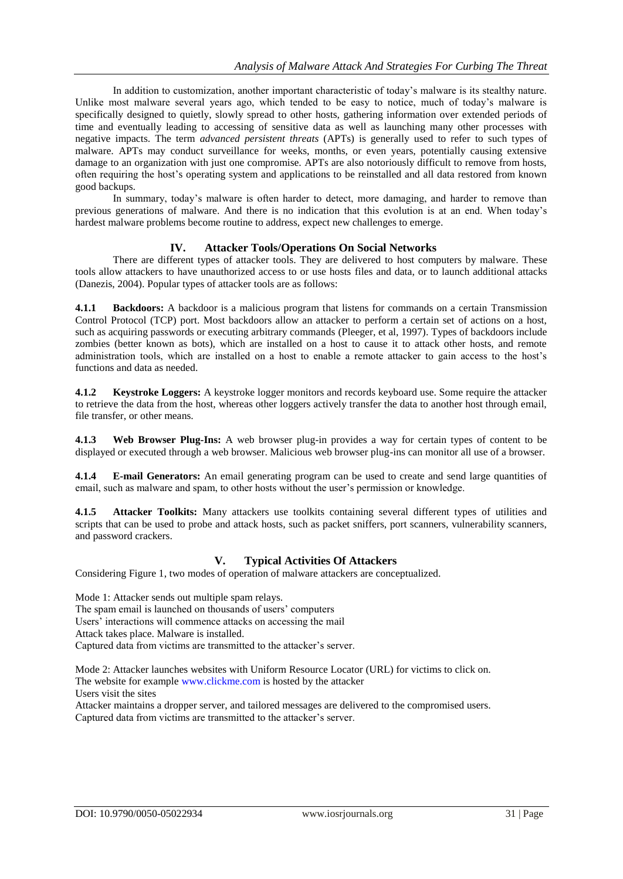In addition to customization, another important characteristic of today"s malware is its stealthy nature. Unlike most malware several years ago, which tended to be easy to notice, much of today's malware is specifically designed to quietly, slowly spread to other hosts, gathering information over extended periods of time and eventually leading to accessing of sensitive data as well as launching many other processes with negative impacts. The term *advanced persistent threats* (APTs) is generally used to refer to such types of malware. APTs may conduct surveillance for weeks, months, or even years, potentially causing extensive damage to an organization with just one compromise. APTs are also notoriously difficult to remove from hosts, often requiring the host"s operating system and applications to be reinstalled and all data restored from known good backups.

In summary, today"s malware is often harder to detect, more damaging, and harder to remove than previous generations of malware. And there is no indication that this evolution is at an end. When today"s hardest malware problems become routine to address, expect new challenges to emerge.

## **IV. Attacker Tools/Operations On Social Networks**

There are different types of attacker tools. They are delivered to host computers by malware. These tools allow attackers to have unauthorized access to or use hosts files and data, or to launch additional attacks (Danezis, 2004). Popular types of attacker tools are as follows:

**4.1.1 Backdoors:** A backdoor is a malicious program that listens for commands on a certain Transmission Control Protocol (TCP) port. Most backdoors allow an attacker to perform a certain set of actions on a host, such as acquiring passwords or executing arbitrary commands (Pleeger, et al, 1997). Types of backdoors include zombies (better known as bots), which are installed on a host to cause it to attack other hosts, and remote administration tools, which are installed on a host to enable a remote attacker to gain access to the host"s functions and data as needed.

**4.1.2 Keystroke Loggers:** A keystroke logger monitors and records keyboard use. Some require the attacker to retrieve the data from the host, whereas other loggers actively transfer the data to another host through email, file transfer, or other means.

**4.1.3 Web Browser Plug-Ins:** A web browser plug-in provides a way for certain types of content to be displayed or executed through a web browser. Malicious web browser plug-ins can monitor all use of a browser.

**4.1.4 E-mail Generators:** An email generating program can be used to create and send large quantities of email, such as malware and spam, to other hosts without the user"s permission or knowledge.

**4.1.5 Attacker Toolkits:** Many attackers use toolkits containing several different types of utilities and scripts that can be used to probe and attack hosts, such as packet sniffers, port scanners, vulnerability scanners, and password crackers.

# **V. Typical Activities Of Attackers**

Considering Figure 1, two modes of operation of malware attackers are conceptualized.

Mode 1: Attacker sends out multiple spam relays. The spam email is launched on thousands of users' computers Users' interactions will commence attacks on accessing the mail Attack takes place. Malware is installed. Captured data from victims are transmitted to the attacker's server.

Mode 2: Attacker launches websites with Uniform Resource Locator (URL) for victims to click on. The website for example [www.clickme.com](http://www.clickme.com/) is hosted by the attacker Users visit the sites

Attacker maintains a dropper server, and tailored messages are delivered to the compromised users. Captured data from victims are transmitted to the attacker"s server.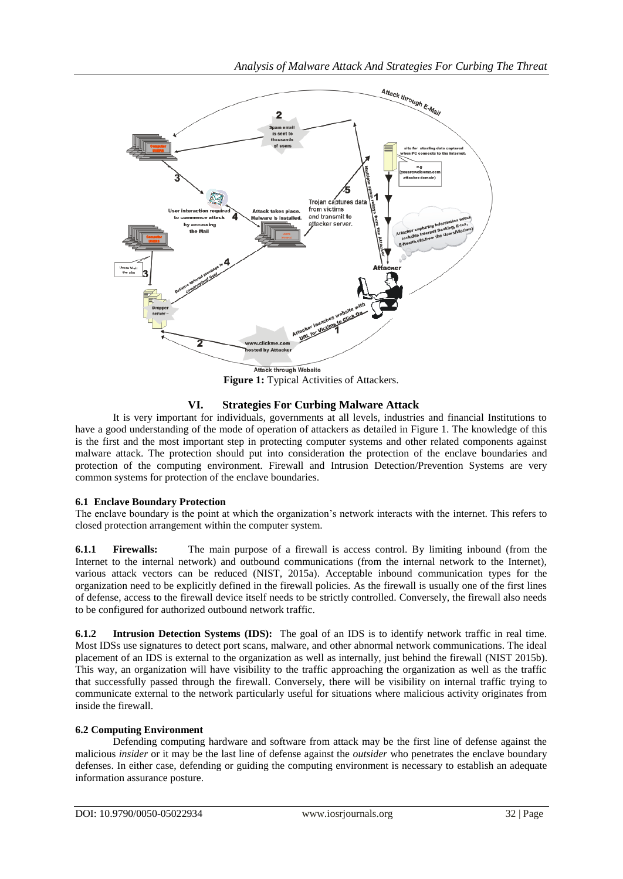

# **VI. Strategies For Curbing Malware Attack**

It is very important for individuals, governments at all levels, industries and financial Institutions to have a good understanding of the mode of operation of attackers as detailed in Figure 1. The knowledge of this is the first and the most important step in protecting computer systems and other related components against malware attack. The protection should put into consideration the protection of the enclave boundaries and protection of the computing environment. Firewall and Intrusion Detection/Prevention Systems are very common systems for protection of the enclave boundaries.

## **6.1 Enclave Boundary Protection**

The enclave boundary is the point at which the organization"s network interacts with the internet. This refers to closed protection arrangement within the computer system.

**6.1.1 Firewalls:** The main purpose of a firewall is access control. By limiting inbound (from the Internet to the internal network) and outbound communications (from the internal network to the Internet), various attack vectors can be reduced (NIST, 2015a). Acceptable inbound communication types for the organization need to be explicitly defined in the firewall policies. As the firewall is usually one of the first lines of defense, access to the firewall device itself needs to be strictly controlled. Conversely, the firewall also needs to be configured for authorized outbound network traffic.

**6.1.2 Intrusion Detection Systems (IDS):** The goal of an IDS is to identify network traffic in real time. Most IDSs use signatures to detect port scans, malware, and other abnormal network communications. The ideal placement of an IDS is external to the organization as well as internally, just behind the firewall (NIST 2015b). This way, an organization will have visibility to the traffic approaching the organization as well as the traffic that successfully passed through the firewall. Conversely, there will be visibility on internal traffic trying to communicate external to the network particularly useful for situations where malicious activity originates from inside the firewall.

# **6.2 Computing Environment**

Defending computing hardware and software from attack may be the first line of defense against the malicious *insider* or it may be the last line of defense against the *outsider* who penetrates the enclave boundary defenses. In either case, defending or guiding the computing environment is necessary to establish an adequate information assurance posture.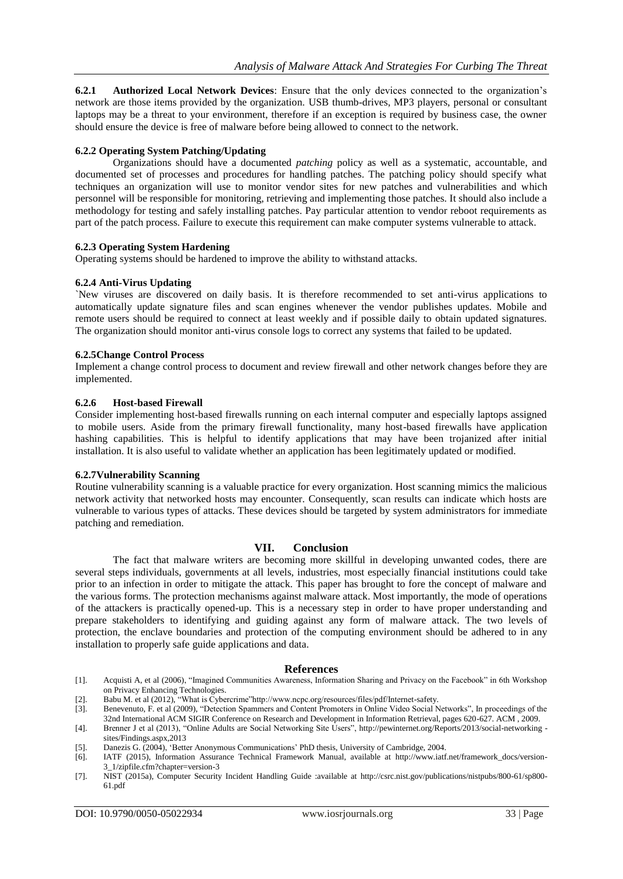**6.2.1 Authorized Local Network Devices**: Ensure that the only devices connected to the organization"s network are those items provided by the organization. USB thumb-drives, MP3 players, personal or consultant laptops may be a threat to your environment, therefore if an exception is required by business case, the owner should ensure the device is free of malware before being allowed to connect to the network.

## **6.2.2 Operating System Patching/Updating**

Organizations should have a documented *patching* policy as well as a systematic, accountable, and documented set of processes and procedures for handling patches. The patching policy should specify what techniques an organization will use to monitor vendor sites for new patches and vulnerabilities and which personnel will be responsible for monitoring, retrieving and implementing those patches. It should also include a methodology for testing and safely installing patches. Pay particular attention to vendor reboot requirements as part of the patch process. Failure to execute this requirement can make computer systems vulnerable to attack.

## **6.2.3 Operating System Hardening**

Operating systems should be hardened to improve the ability to withstand attacks.

### **6.2.4 Anti-Virus Updating**

`New viruses are discovered on daily basis. It is therefore recommended to set anti-virus applications to automatically update signature files and scan engines whenever the vendor publishes updates. Mobile and remote users should be required to connect at least weekly and if possible daily to obtain updated signatures. The organization should monitor anti-virus console logs to correct any systems that failed to be updated.

### **6.2.5Change Control Process**

Implement a change control process to document and review firewall and other network changes before they are implemented.

### **6.2.6 Host-based Firewall**

Consider implementing host-based firewalls running on each internal computer and especially laptops assigned to mobile users. Aside from the primary firewall functionality, many host-based firewalls have application hashing capabilities. This is helpful to identify applications that may have been trojanized after initial installation. It is also useful to validate whether an application has been legitimately updated or modified.

## **6.2.7Vulnerability Scanning**

Routine vulnerability scanning is a valuable practice for every organization. Host scanning mimics the malicious network activity that networked hosts may encounter. Consequently, scan results can indicate which hosts are vulnerable to various types of attacks. These devices should be targeted by system administrators for immediate patching and remediation.

### **VII. Conclusion**

The fact that malware writers are becoming more skillful in developing unwanted codes, there are several steps individuals, governments at all levels, industries, most especially financial institutions could take prior to an infection in order to mitigate the attack. This paper has brought to fore the concept of malware and the various forms. The protection mechanisms against malware attack. Most importantly, the mode of operations of the attackers is practically opened-up. This is a necessary step in order to have proper understanding and prepare stakeholders to identifying and guiding against any form of malware attack. The two levels of protection, the enclave boundaries and protection of the computing environment should be adhered to in any installation to properly safe guide applications and data.

### **References**

- [1]. Acquisti A, et al (2006), "Imagined Communities Awareness, Information Sharing and Privacy on the Facebook" in 6th Workshop on Privacy Enhancing Technologies.
- [2]. Babu M. et al (2012), "What is Cybercrime"http://www.ncpc.org/resources/files/pdf/Internet-safety.
- [3]. Benevenuto, F. et al (2009), "Detection Spammers and Content Promoters in Online Video Social Networks", In proceedings of the 32nd International ACM SIGIR Conference on Research and Development in Information Retrieval, pages 620-627. ACM , 2009.
- [4]. Brenner J et al (2013), "Online Adults are Social Networking Site Users", [http://pewinternet.org/Reports/2013/social-networking](http://pewinternet.org/Reports/2013/social-networking%20-sites/Findings.aspx,2013)  [sites/Findings.aspx,2013](http://pewinternet.org/Reports/2013/social-networking%20-sites/Findings.aspx,2013)
- [5]. Danezis G. (2004), "Better Anonymous Communications" PhD thesis, University of Cambridge, 2004.
- [6]. IATF (2015), Information Assurance Technical Framework Manual, available at [http://www.iatf.net/framework\\_docs/version-](http://www.iatf.net/framework_docs/version-3_1/zipfile.cfm?chapter=version-3)[3\\_1/zipfile.cfm?chapter=version-3](http://www.iatf.net/framework_docs/version-3_1/zipfile.cfm?chapter=version-3)
- [7]. NIST (2015a), Computer Security Incident Handling Guide :available at http://csrc.nist.gov/publications/nistpubs/800-61/sp800- 61.pdf